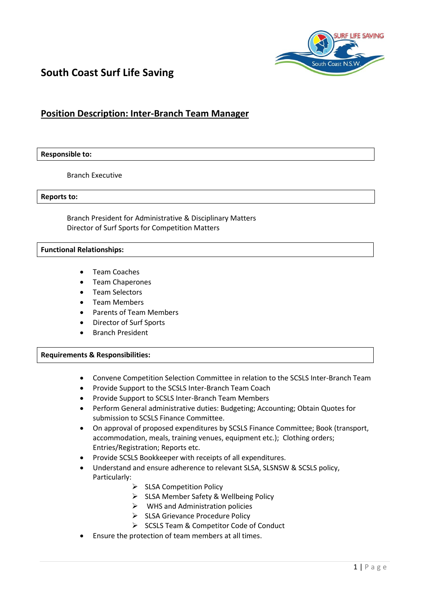

# **South Coast Surf Life Saving**

# **Position Description: Inter-Branch Team Manager**

#### **Responsible to:**

Branch Executive

#### **Reports to:**

Branch President for Administrative & Disciplinary Matters Director of Surf Sports for Competition Matters

#### **Functional Relationships:**

- Team Coaches
- Team Chaperones
- Team Selectors
- Team Members
- Parents of Team Members
- Director of Surf Sports
- Branch President

### **Requirements & Responsibilities:**

- Convene Competition Selection Committee in relation to the SCSLS Inter-Branch Team
- Provide Support to the SCSLS Inter-Branch Team Coach
- Provide Support to SCSLS Inter-Branch Team Members
- Perform General administrative duties: Budgeting; Accounting; Obtain Quotes for submission to SCSLS Finance Committee.
- On approval of proposed expenditures by SCSLS Finance Committee; Book (transport, accommodation, meals, training venues, equipment etc.); Clothing orders; Entries/Registration; Reports etc.
- Provide SCSLS Bookkeeper with receipts of all expenditures.
- Understand and ensure adherence to relevant SLSA, SLSNSW & SCSLS policy, Particularly:
	- $\triangleright$  SLSA Competition Policy
	- > SLSA Member Safety & Wellbeing Policy
	- $\triangleright$  WHS and Administration policies
	- $\triangleright$  SLSA Grievance Procedure Policy
	- $\triangleright$  SCSLS Team & Competitor Code of Conduct
- Ensure the protection of team members at all times.